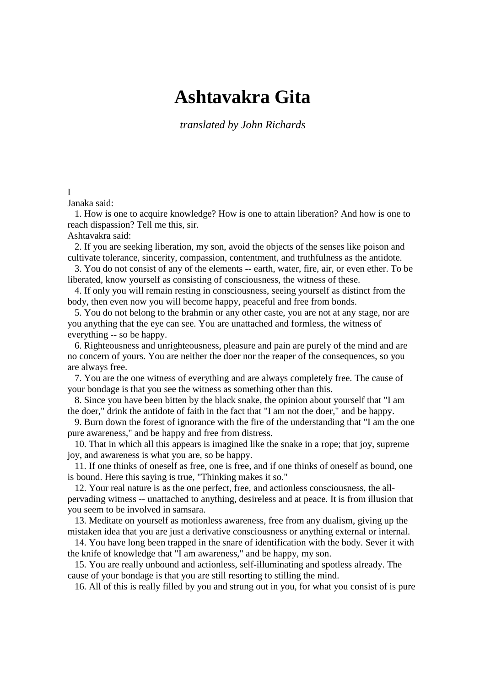# **Ashtavakra Gita**

*translated by John Richards* 

# I

Janaka said:

 1. How is one to acquire knowledge? How is one to attain liberation? And how is one to reach dispassion? Tell me this, sir.

Ashtavakra said:

 2. If you are seeking liberation, my son, avoid the objects of the senses like poison and cultivate tolerance, sincerity, compassion, contentment, and truthfulness as the antidote.

 3. You do not consist of any of the elements -- earth, water, fire, air, or even ether. To be liberated, know yourself as consisting of consciousness, the witness of these.

 4. If only you will remain resting in consciousness, seeing yourself as distinct from the body, then even now you will become happy, peaceful and free from bonds.

 5. You do not belong to the brahmin or any other caste, you are not at any stage, nor are you anything that the eye can see. You are unattached and formless, the witness of everything -- so be happy.

 6. Righteousness and unrighteousness, pleasure and pain are purely of the mind and are no concern of yours. You are neither the doer nor the reaper of the consequences, so you are always free.

 7. You are the one witness of everything and are always completely free. The cause of your bondage is that you see the witness as something other than this.

 8. Since you have been bitten by the black snake, the opinion about yourself that "I am the doer," drink the antidote of faith in the fact that "I am not the doer," and be happy.

 9. Burn down the forest of ignorance with the fire of the understanding that "I am the one pure awareness," and be happy and free from distress.

 10. That in which all this appears is imagined like the snake in a rope; that joy, supreme joy, and awareness is what you are, so be happy.

 11. If one thinks of oneself as free, one is free, and if one thinks of oneself as bound, one is bound. Here this saying is true, "Thinking makes it so."

 12. Your real nature is as the one perfect, free, and actionless consciousness, the allpervading witness -- unattached to anything, desireless and at peace. It is from illusion that you seem to be involved in samsara.

 13. Meditate on yourself as motionless awareness, free from any dualism, giving up the mistaken idea that you are just a derivative consciousness or anything external or internal.

 14. You have long been trapped in the snare of identification with the body. Sever it with the knife of knowledge that "I am awareness," and be happy, my son.

 15. You are really unbound and actionless, self-illuminating and spotless already. The cause of your bondage is that you are still resorting to stilling the mind.

16. All of this is really filled by you and strung out in you, for what you consist of is pure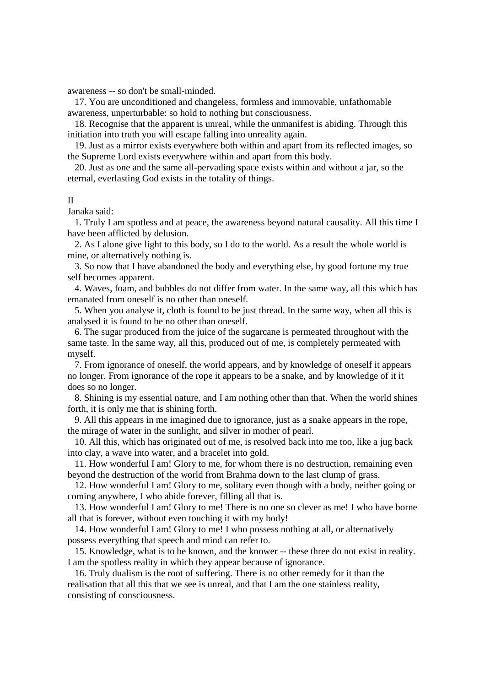awareness -- so don't be small-minded.

 17. You are unconditioned and changeless, formless and immovable, unfathomable awareness, unperturbable: so hold to nothing but consciousness.

 18. Recognise that the apparent is unreal, while the unmanifest is abiding. Through this initiation into truth you will escape falling into unreality again.

 19. Just as a mirror exists everywhere both within and apart from its reflected images, so the Supreme Lord exists everywhere within and apart from this body.

 20. Just as one and the same all-pervading space exists within and without a jar, so the eternal, everlasting God exists in the totality of things.

# II

Janaka said:

 1. Truly I am spotless and at peace, the awareness beyond natural causality. All this time I have been afflicted by delusion.

 2. As I alone give light to this body, so I do to the world. As a result the whole world is mine, or alternatively nothing is.

 3. So now that I have abandoned the body and everything else, by good fortune my true self becomes apparent.

 4. Waves, foam, and bubbles do not differ from water. In the same way, all this which has emanated from oneself is no other than oneself.

 5. When you analyse it, cloth is found to be just thread. In the same way, when all this is analysed it is found to be no other than oneself.

 6. The sugar produced from the juice of the sugarcane is permeated throughout with the same taste. In the same way, all this, produced out of me, is completely permeated with myself.

 7. From ignorance of oneself, the world appears, and by knowledge of oneself it appears no longer. From ignorance of the rope it appears to be a snake, and by knowledge of it it does so no longer.

 8. Shining is my essential nature, and I am nothing other than that. When the world shines forth, it is only me that is shining forth.

 9. All this appears in me imagined due to ignorance, just as a snake appears in the rope, the mirage of water in the sunlight, and silver in mother of pearl.

 10. All this, which has originated out of me, is resolved back into me too, like a jug back into clay, a wave into water, and a bracelet into gold.

 11. How wonderful I am! Glory to me, for whom there is no destruction, remaining even beyond the destruction of the world from Brahma down to the last clump of grass.

 12. How wonderful I am! Glory to me, solitary even though with a body, neither going or coming anywhere, I who abide forever, filling all that is.

 13. How wonderful I am! Glory to me! There is no one so clever as me! I who have borne all that is forever, without even touching it with my body!

 14. How wonderful I am! Glory to me! I who possess nothing at all, or alternatively possess everything that speech and mind can refer to.

 15. Knowledge, what is to be known, and the knower -- these three do not exist in reality. I am the spotless reality in which they appear because of ignorance.

 16. Truly dualism is the root of suffering. There is no other remedy for it than the realisation that all this that we see is unreal, and that I am the one stainless reality, consisting of consciousness.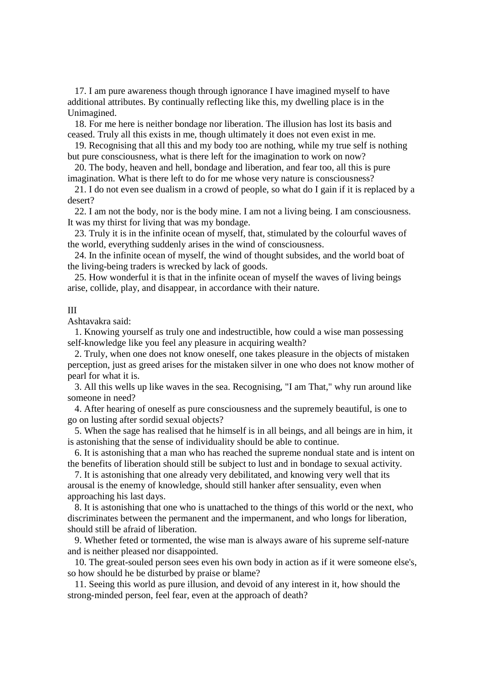17. I am pure awareness though through ignorance I have imagined myself to have additional attributes. By continually reflecting like this, my dwelling place is in the Unimagined.

 18. For me here is neither bondage nor liberation. The illusion has lost its basis and ceased. Truly all this exists in me, though ultimately it does not even exist in me.

# 19. Recognising that all this and my body too are nothing, while my true self is nothing but pure consciousness, what is there left for the imagination to work on now?

 20. The body, heaven and hell, bondage and liberation, and fear too, all this is pure imagination. What is there left to do for me whose very nature is consciousness?

 21. I do not even see dualism in a crowd of people, so what do I gain if it is replaced by a desert?

 22. I am not the body, nor is the body mine. I am not a living being. I am consciousness. It was my thirst for living that was my bondage.

 23. Truly it is in the infinite ocean of myself, that, stimulated by the colourful waves of the world, everything suddenly arises in the wind of consciousness.

 24. In the infinite ocean of myself, the wind of thought subsides, and the world boat of the living-being traders is wrecked by lack of goods.

 25. How wonderful it is that in the infinite ocean of myself the waves of living beings arise, collide, play, and disappear, in accordance with their nature.

#### III

Ashtavakra said:

 1. Knowing yourself as truly one and indestructible, how could a wise man possessing self-knowledge like you feel any pleasure in acquiring wealth?

 2. Truly, when one does not know oneself, one takes pleasure in the objects of mistaken perception, just as greed arises for the mistaken silver in one who does not know mother of pearl for what it is.

 3. All this wells up like waves in the sea. Recognising, "I am That," why run around like someone in need?

 4. After hearing of oneself as pure consciousness and the supremely beautiful, is one to go on lusting after sordid sexual objects?

 5. When the sage has realised that he himself is in all beings, and all beings are in him, it is astonishing that the sense of individuality should be able to continue.

 6. It is astonishing that a man who has reached the supreme nondual state and is intent on the benefits of liberation should still be subject to lust and in bondage to sexual activity.

 7. It is astonishing that one already very debilitated, and knowing very well that its arousal is the enemy of knowledge, should still hanker after sensuality, even when approaching his last days.

 8. It is astonishing that one who is unattached to the things of this world or the next, who discriminates between the permanent and the impermanent, and who longs for liberation, should still be afraid of liberation.

 9. Whether feted or tormented, the wise man is always aware of his supreme self-nature and is neither pleased nor disappointed.

 10. The great-souled person sees even his own body in action as if it were someone else's, so how should he be disturbed by praise or blame?

 11. Seeing this world as pure illusion, and devoid of any interest in it, how should the strong-minded person, feel fear, even at the approach of death?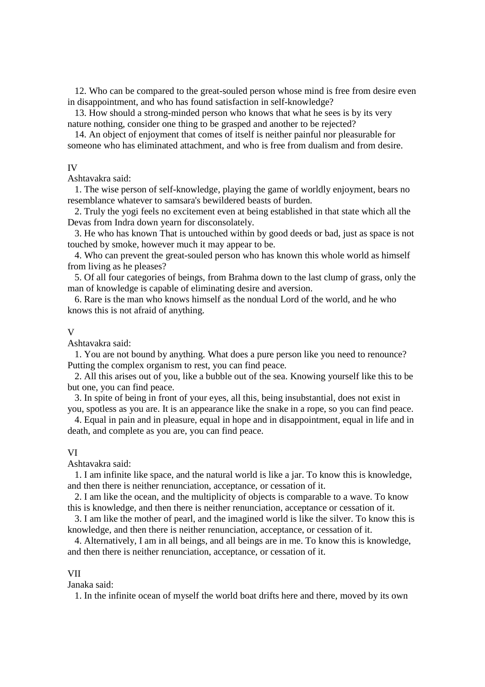12. Who can be compared to the great-souled person whose mind is free from desire even in disappointment, and who has found satisfaction in self-knowledge?

 13. How should a strong-minded person who knows that what he sees is by its very nature nothing, consider one thing to be grasped and another to be rejected?

 14. An object of enjoyment that comes of itself is neither painful nor pleasurable for someone who has eliminated attachment, and who is free from dualism and from desire.

#### IV

Ashtavakra said:

 1. The wise person of self-knowledge, playing the game of worldly enjoyment, bears no resemblance whatever to samsara's bewildered beasts of burden.

 2. Truly the yogi feels no excitement even at being established in that state which all the Devas from Indra down yearn for disconsolately.

 3. He who has known That is untouched within by good deeds or bad, just as space is not touched by smoke, however much it may appear to be.

 4. Who can prevent the great-souled person who has known this whole world as himself from living as he pleases?

 5. Of all four categories of beings, from Brahma down to the last clump of grass, only the man of knowledge is capable of eliminating desire and aversion.

 6. Rare is the man who knows himself as the nondual Lord of the world, and he who knows this is not afraid of anything.

#### V

Ashtavakra said:

 1. You are not bound by anything. What does a pure person like you need to renounce? Putting the complex organism to rest, you can find peace.

 2. All this arises out of you, like a bubble out of the sea. Knowing yourself like this to be but one, you can find peace.

 3. In spite of being in front of your eyes, all this, being insubstantial, does not exist in you, spotless as you are. It is an appearance like the snake in a rope, so you can find peace.

 4. Equal in pain and in pleasure, equal in hope and in disappointment, equal in life and in death, and complete as you are, you can find peace.

## VI

Ashtavakra said:

 1. I am infinite like space, and the natural world is like a jar. To know this is knowledge, and then there is neither renunciation, acceptance, or cessation of it.

 2. I am like the ocean, and the multiplicity of objects is comparable to a wave. To know this is knowledge, and then there is neither renunciation, acceptance or cessation of it.

 3. I am like the mother of pearl, and the imagined world is like the silver. To know this is knowledge, and then there is neither renunciation, acceptance, or cessation of it.

 4. Alternatively, I am in all beings, and all beings are in me. To know this is knowledge, and then there is neither renunciation, acceptance, or cessation of it.

## VII

Janaka said:

1. In the infinite ocean of myself the world boat drifts here and there, moved by its own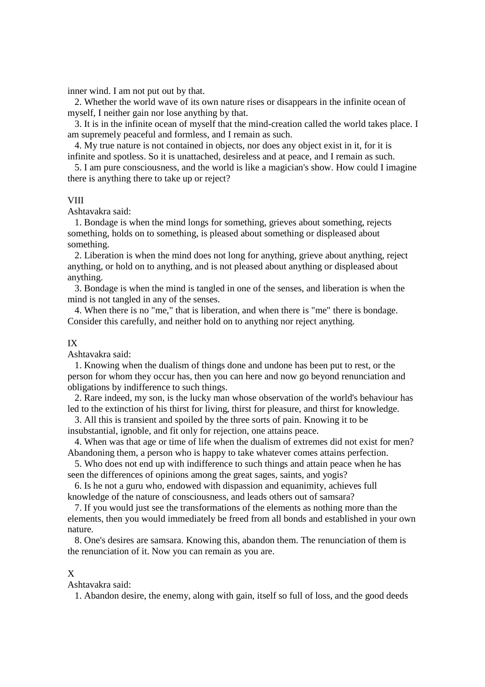inner wind. I am not put out by that.

 2. Whether the world wave of its own nature rises or disappears in the infinite ocean of myself, I neither gain nor lose anything by that.

 3. It is in the infinite ocean of myself that the mind-creation called the world takes place. I am supremely peaceful and formless, and I remain as such.

 4. My true nature is not contained in objects, nor does any object exist in it, for it is infinite and spotless. So it is unattached, desireless and at peace, and I remain as such.

 5. I am pure consciousness, and the world is like a magician's show. How could I imagine there is anything there to take up or reject?

## **VIII**

Ashtavakra said:

 1. Bondage is when the mind longs for something, grieves about something, rejects something, holds on to something, is pleased about something or displeased about something.

 2. Liberation is when the mind does not long for anything, grieve about anything, reject anything, or hold on to anything, and is not pleased about anything or displeased about anything.

 3. Bondage is when the mind is tangled in one of the senses, and liberation is when the mind is not tangled in any of the senses.

 4. When there is no "me," that is liberation, and when there is "me" there is bondage. Consider this carefully, and neither hold on to anything nor reject anything.

#### IX

Ashtavakra said:

 1. Knowing when the dualism of things done and undone has been put to rest, or the person for whom they occur has, then you can here and now go beyond renunciation and obligations by indifference to such things.

 2. Rare indeed, my son, is the lucky man whose observation of the world's behaviour has led to the extinction of his thirst for living, thirst for pleasure, and thirst for knowledge.

 3. All this is transient and spoiled by the three sorts of pain. Knowing it to be insubstantial, ignoble, and fit only for rejection, one attains peace.

 4. When was that age or time of life when the dualism of extremes did not exist for men? Abandoning them, a person who is happy to take whatever comes attains perfection.

 5. Who does not end up with indifference to such things and attain peace when he has seen the differences of opinions among the great sages, saints, and yogis?

 6. Is he not a guru who, endowed with dispassion and equanimity, achieves full knowledge of the nature of consciousness, and leads others out of samsara?

 7. If you would just see the transformations of the elements as nothing more than the elements, then you would immediately be freed from all bonds and established in your own nature.

 8. One's desires are samsara. Knowing this, abandon them. The renunciation of them is the renunciation of it. Now you can remain as you are.

# X

Ashtavakra said:

1. Abandon desire, the enemy, along with gain, itself so full of loss, and the good deeds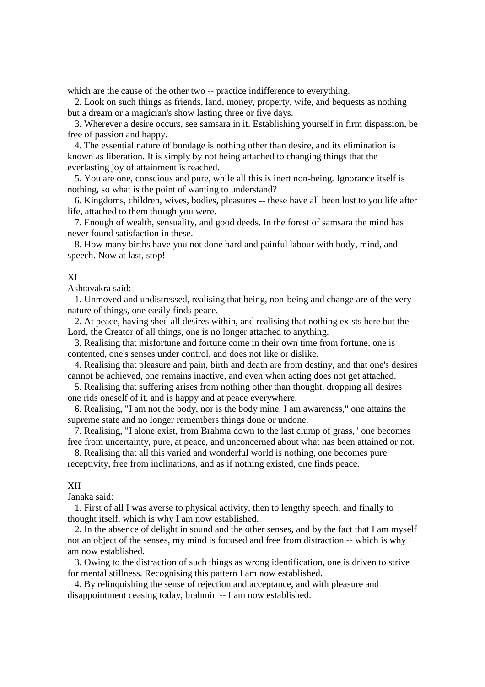which are the cause of the other two -- practice indifference to everything.

 2. Look on such things as friends, land, money, property, wife, and bequests as nothing but a dream or a magician's show lasting three or five days.

 3. Wherever a desire occurs, see samsara in it. Establishing yourself in firm dispassion, be free of passion and happy.

 4. The essential nature of bondage is nothing other than desire, and its elimination is known as liberation. It is simply by not being attached to changing things that the everlasting joy of attainment is reached.

 5. You are one, conscious and pure, while all this is inert non-being. Ignorance itself is nothing, so what is the point of wanting to understand?

 6. Kingdoms, children, wives, bodies, pleasures -- these have all been lost to you life after life, attached to them though you were.

 7. Enough of wealth, sensuality, and good deeds. In the forest of samsara the mind has never found satisfaction in these.

 8. How many births have you not done hard and painful labour with body, mind, and speech. Now at last, stop!

## XI

Ashtavakra said:

 1. Unmoved and undistressed, realising that being, non-being and change are of the very nature of things, one easily finds peace.

 2. At peace, having shed all desires within, and realising that nothing exists here but the Lord, the Creator of all things, one is no longer attached to anything.

 3. Realising that misfortune and fortune come in their own time from fortune, one is contented, one's senses under control, and does not like or dislike.

 4. Realising that pleasure and pain, birth and death are from destiny, and that one's desires cannot be achieved, one remains inactive, and even when acting does not get attached.

 5. Realising that suffering arises from nothing other than thought, dropping all desires one rids oneself of it, and is happy and at peace everywhere.

 6. Realising, "I am not the body, nor is the body mine. I am awareness," one attains the supreme state and no longer remembers things done or undone.

 7. Realising, "I alone exist, from Brahma down to the last clump of grass," one becomes free from uncertainty, pure, at peace, and unconcerned about what has been attained or not.

 8. Realising that all this varied and wonderful world is nothing, one becomes pure receptivity, free from inclinations, and as if nothing existed, one finds peace.

#### XII

Janaka said:

 1. First of all I was averse to physical activity, then to lengthy speech, and finally to thought itself, which is why I am now established.

 2. In the absence of delight in sound and the other senses, and by the fact that I am myself not an object of the senses, my mind is focused and free from distraction -- which is why I am now established.

 3. Owing to the distraction of such things as wrong identification, one is driven to strive for mental stillness. Recognising this pattern I am now established.

 4. By relinquishing the sense of rejection and acceptance, and with pleasure and disappointment ceasing today, brahmin -- I am now established.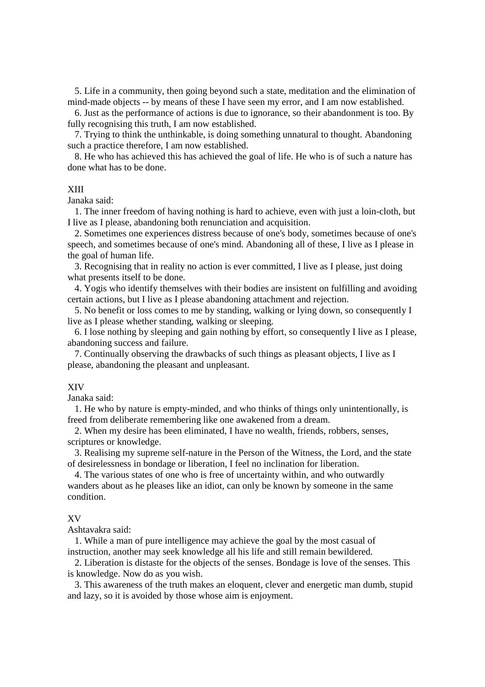5. Life in a community, then going beyond such a state, meditation and the elimination of mind-made objects -- by means of these I have seen my error, and I am now established.

 6. Just as the performance of actions is due to ignorance, so their abandonment is too. By fully recognising this truth, I am now established.

 7. Trying to think the unthinkable, is doing something unnatural to thought. Abandoning such a practice therefore, I am now established.

 8. He who has achieved this has achieved the goal of life. He who is of such a nature has done what has to be done.

## XIII

Janaka said:

 1. The inner freedom of having nothing is hard to achieve, even with just a loin-cloth, but I live as I please, abandoning both renunciation and acquisition.

 2. Sometimes one experiences distress because of one's body, sometimes because of one's speech, and sometimes because of one's mind. Abandoning all of these, I live as I please in the goal of human life.

 3. Recognising that in reality no action is ever committed, I live as I please, just doing what presents itself to be done.

 4. Yogis who identify themselves with their bodies are insistent on fulfilling and avoiding certain actions, but I live as I please abandoning attachment and rejection.

 5. No benefit or loss comes to me by standing, walking or lying down, so consequently I live as I please whether standing, walking or sleeping.

 6. I lose nothing by sleeping and gain nothing by effort, so consequently I live as I please, abandoning success and failure.

 7. Continually observing the drawbacks of such things as pleasant objects, I live as I please, abandoning the pleasant and unpleasant.

#### XIV

Janaka said:

 1. He who by nature is empty-minded, and who thinks of things only unintentionally, is freed from deliberate remembering like one awakened from a dream.

 2. When my desire has been eliminated, I have no wealth, friends, robbers, senses, scriptures or knowledge.

 3. Realising my supreme self-nature in the Person of the Witness, the Lord, and the state of desirelessness in bondage or liberation, I feel no inclination for liberation.

 4. The various states of one who is free of uncertainty within, and who outwardly wanders about as he pleases like an idiot, can only be known by someone in the same condition.

## XV

Ashtavakra said:

 1. While a man of pure intelligence may achieve the goal by the most casual of instruction, another may seek knowledge all his life and still remain bewildered.

 2. Liberation is distaste for the objects of the senses. Bondage is love of the senses. This is knowledge. Now do as you wish.

 3. This awareness of the truth makes an eloquent, clever and energetic man dumb, stupid and lazy, so it is avoided by those whose aim is enjoyment.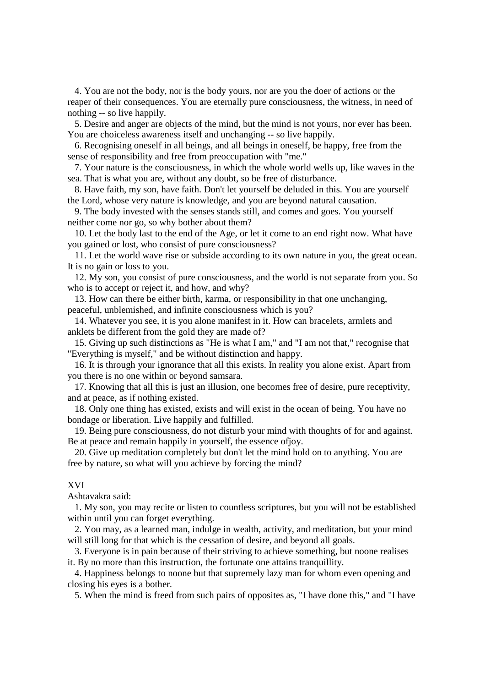4. You are not the body, nor is the body yours, nor are you the doer of actions or the reaper of their consequences. You are eternally pure consciousness, the witness, in need of nothing -- so live happily.

 5. Desire and anger are objects of the mind, but the mind is not yours, nor ever has been. You are choiceless awareness itself and unchanging -- so live happily.

 6. Recognising oneself in all beings, and all beings in oneself, be happy, free from the sense of responsibility and free from preoccupation with "me."

 7. Your nature is the consciousness, in which the whole world wells up, like waves in the sea. That is what you are, without any doubt, so be free of disturbance.

 8. Have faith, my son, have faith. Don't let yourself be deluded in this. You are yourself the Lord, whose very nature is knowledge, and you are beyond natural causation.

 9. The body invested with the senses stands still, and comes and goes. You yourself neither come nor go, so why bother about them?

 10. Let the body last to the end of the Age, or let it come to an end right now. What have you gained or lost, who consist of pure consciousness?

 11. Let the world wave rise or subside according to its own nature in you, the great ocean. It is no gain or loss to you.

 12. My son, you consist of pure consciousness, and the world is not separate from you. So who is to accept or reject it, and how, and why?

 13. How can there be either birth, karma, or responsibility in that one unchanging, peaceful, unblemished, and infinite consciousness which is you?

 14. Whatever you see, it is you alone manifest in it. How can bracelets, armlets and anklets be different from the gold they are made of?

 15. Giving up such distinctions as "He is what I am," and "I am not that," recognise that "Everything is myself," and be without distinction and happy.

 16. It is through your ignorance that all this exists. In reality you alone exist. Apart from you there is no one within or beyond samsara.

 17. Knowing that all this is just an illusion, one becomes free of desire, pure receptivity, and at peace, as if nothing existed.

 18. Only one thing has existed, exists and will exist in the ocean of being. You have no bondage or liberation. Live happily and fulfilled.

 19. Being pure consciousness, do not disturb your mind with thoughts of for and against. Be at peace and remain happily in yourself, the essence ofjoy.

 20. Give up meditation completely but don't let the mind hold on to anything. You are free by nature, so what will you achieve by forcing the mind?

# XVI

Ashtavakra said:

 1. My son, you may recite or listen to countless scriptures, but you will not be established within until you can forget everything.

 2. You may, as a learned man, indulge in wealth, activity, and meditation, but your mind will still long for that which is the cessation of desire, and beyond all goals.

 3. Everyone is in pain because of their striving to achieve something, but noone realises it. By no more than this instruction, the fortunate one attains tranquillity.

 4. Happiness belongs to noone but that supremely lazy man for whom even opening and closing his eyes is a bother.

5. When the mind is freed from such pairs of opposites as, "I have done this," and "I have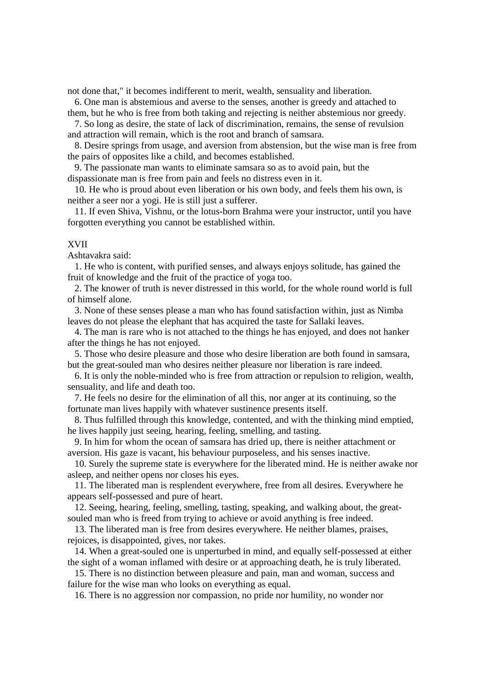not done that," it becomes indifferent to merit, wealth, sensuality and liberation.

 6. One man is abstemious and averse to the senses, another is greedy and attached to them, but he who is free from both taking and rejecting is neither abstemious nor greedy.

 7. So long as desire, the state of lack of discrimination, remains, the sense of revulsion and attraction will remain, which is the root and branch of samsara.

 8. Desire springs from usage, and aversion from abstension, but the wise man is free from the pairs of opposites like a child, and becomes established.

 9. The passionate man wants to eliminate samsara so as to avoid pain, but the dispassionate man is free from pain and feels no distress even in it.

 10. He who is proud about even liberation or his own body, and feels them his own, is neither a seer nor a yogi. He is still just a sufferer.

 11. If even Shiva, Vishnu, or the lotus-born Brahma were your instructor, until you have forgotten everything you cannot be established within.

## XVII

Ashtavakra said:

 1. He who is content, with purified senses, and always enjoys solitude, has gained the fruit of knowledge and the fruit of the practice of yoga too.

 2. The knower of truth is never distressed in this world, for the whole round world is full of himself alone.

 3. None of these senses please a man who has found satisfaction within, just as Nimba leaves do not please the elephant that has acquired the taste for Sallaki leaves.

 4. The man is rare who is not attached to the things he has enjoyed, and does not hanker after the things he has not enjoyed.

 5. Those who desire pleasure and those who desire liberation are both found in samsara, but the great-souled man who desires neither pleasure nor liberation is rare indeed.

 6. It is only the noble-minded who is free from attraction or repulsion to religion, wealth, sensuality, and life and death too.

 7. He feels no desire for the elimination of all this, nor anger at its continuing, so the fortunate man lives happily with whatever sustinence presents itself.

 8. Thus fulfilled through this knowledge, contented, and with the thinking mind emptied, he lives happily just seeing, hearing, feeling, smelling, and tasting.

 9. In him for whom the ocean of samsara has dried up, there is neither attachment or aversion. His gaze is vacant, his behaviour purposeless, and his senses inactive.

 10. Surely the supreme state is everywhere for the liberated mind. He is neither awake nor asleep, and neither opens nor closes his eyes.

 11. The liberated man is resplendent everywhere, free from all desires. Everywhere he appears self-possessed and pure of heart.

 12. Seeing, hearing, feeling, smelling, tasting, speaking, and walking about, the greatsouled man who is freed from trying to achieve or avoid anything is free indeed.

 13. The liberated man is free from desires everywhere. He neither blames, praises, rejoices, is disappointed, gives, nor takes.

 14. When a great-souled one is unperturbed in mind, and equally self-possessed at either the sight of a woman inflamed with desire or at approaching death, he is truly liberated.

 15. There is no distinction between pleasure and pain, man and woman, success and failure for the wise man who looks on everything as equal.

16. There is no aggression nor compassion, no pride nor humility, no wonder nor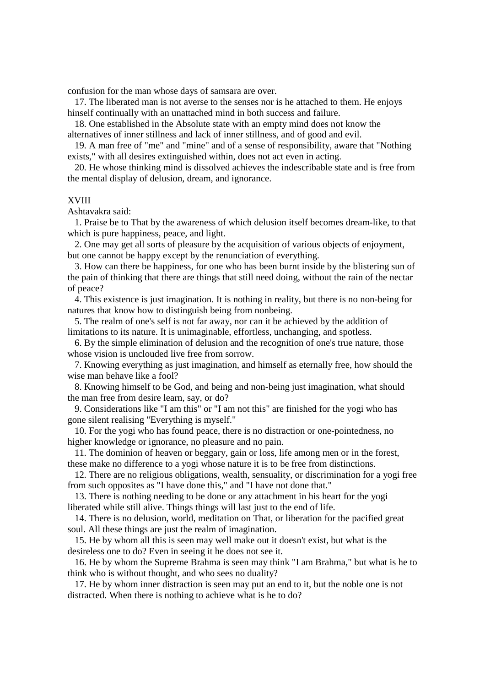confusion for the man whose days of samsara are over.

 17. The liberated man is not averse to the senses nor is he attached to them. He enjoys hinself continually with an unattached mind in both success and failure.

 18. One established in the Absolute state with an empty mind does not know the alternatives of inner stillness and lack of inner stillness, and of good and evil.

 19. A man free of "me" and "mine" and of a sense of responsibility, aware that "Nothing exists," with all desires extinguished within, does not act even in acting.

 20. He whose thinking mind is dissolved achieves the indescribable state and is free from the mental display of delusion, dream, and ignorance.

# XVIII

Ashtavakra said:

 1. Praise be to That by the awareness of which delusion itself becomes dream-like, to that which is pure happiness, peace, and light.

 2. One may get all sorts of pleasure by the acquisition of various objects of enjoyment, but one cannot be happy except by the renunciation of everything.

 3. How can there be happiness, for one who has been burnt inside by the blistering sun of the pain of thinking that there are things that still need doing, without the rain of the nectar of peace?

 4. This existence is just imagination. It is nothing in reality, but there is no non-being for natures that know how to distinguish being from nonbeing.

 5. The realm of one's self is not far away, nor can it be achieved by the addition of limitations to its nature. It is unimaginable, effortless, unchanging, and spotless.

 6. By the simple elimination of delusion and the recognition of one's true nature, those whose vision is unclouded live free from sorrow.

 7. Knowing everything as just imagination, and himself as eternally free, how should the wise man behave like a fool?

 8. Knowing himself to be God, and being and non-being just imagination, what should the man free from desire learn, say, or do?

 9. Considerations like "I am this" or "I am not this" are finished for the yogi who has gone silent realising "Everything is myself."

 10. For the yogi who has found peace, there is no distraction or one-pointedness, no higher knowledge or ignorance, no pleasure and no pain.

 11. The dominion of heaven or beggary, gain or loss, life among men or in the forest, these make no difference to a yogi whose nature it is to be free from distinctions.

 12. There are no religious obligations, wealth, sensuality, or discrimination for a yogi free from such opposites as "I have done this," and "I have not done that."

 13. There is nothing needing to be done or any attachment in his heart for the yogi liberated while still alive. Things things will last just to the end of life.

 14. There is no delusion, world, meditation on That, or liberation for the pacified great soul. All these things are just the realm of imagination.

 15. He by whom all this is seen may well make out it doesn't exist, but what is the desireless one to do? Even in seeing it he does not see it.

 16. He by whom the Supreme Brahma is seen may think "I am Brahma," but what is he to think who is without thought, and who sees no duality?

 17. He by whom inner distraction is seen may put an end to it, but the noble one is not distracted. When there is nothing to achieve what is he to do?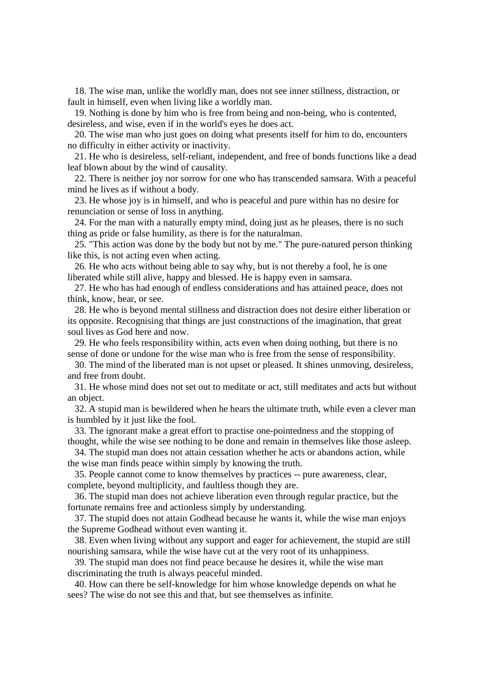18. The wise man, unlike the worldly man, does not see inner stillness, distraction, or fault in himself, even when living like a worldly man.

 19. Nothing is done by him who is free from being and non-being, who is contented, desireless, and wise, even if in the world's eyes he does act.

 20. The wise man who just goes on doing what presents itself for him to do, encounters no difficulty in either activity or inactivity.

 21. He who is desireless, self-reliant, independent, and free of bonds functions like a dead leaf blown about by the wind of causality.

 22. There is neither joy nor sorrow for one who has transcended samsara. With a peaceful mind he lives as if without a body.

 23. He whose joy is in himself, and who is peaceful and pure within has no desire for renunciation or sense of loss in anything.

 24. For the man with a naturally empty mind, doing just as he pleases, there is no such thing as pride or false humility, as there is for the naturalman.

 25. "This action was done by the body but not by me." The pure-natured person thinking like this, is not acting even when acting.

 26. He who acts without being able to say why, but is not thereby a fool, he is one liberated while still alive, happy and blessed. He is happy even in samsara.

 27. He who has had enough of endless considerations and has attained peace, does not think, know, hear, or see.

 28. He who is beyond mental stillness and distraction does not desire either liberation or its opposite. Recognising that things are just constructions of the imagination, that great soul lives as God here and now.

 29. He who feels responsibility within, acts even when doing nothing, but there is no sense of done or undone for the wise man who is free from the sense of responsibility.

 30. The mind of the liberated man is not upset or pleased. It shines unmoving, desireless, and free from doubt.

 31. He whose mind does not set out to meditate or act, still meditates and acts but without an object.

 32. A stupid man is bewildered when he hears the ultimate truth, while even a clever man is humbled by it just like the fool.

 33. The ignorant make a great effort to practise one-pointedness and the stopping of thought, while the wise see nothing to be done and remain in themselves like those asleep.

 34. The stupid man does not attain cessation whether he acts or abandons action, while the wise man finds peace within simply by knowing the truth.

 35. People cannot come to know themselves by practices -- pure awareness, clear, complete, beyond multiplicity, and faultless though they are.

 36. The stupid man does not achieve liberation even through regular practice, but the fortunate remains free and actionless simply by understanding.

 37. The stupid does not attain Godhead because he wants it, while the wise man enjoys the Supreme Godhead without even wanting it.

 38. Even when living without any support and eager for achievement, the stupid are still nourishing samsara, while the wise have cut at the very root of its unhappiness.

 39. The stupid man does not find peace because he desires it, while the wise man discriminating the truth is always peaceful minded.

 40. How can there be self-knowledge for him whose knowledge depends on what he sees? The wise do not see this and that, but see themselves as infinite.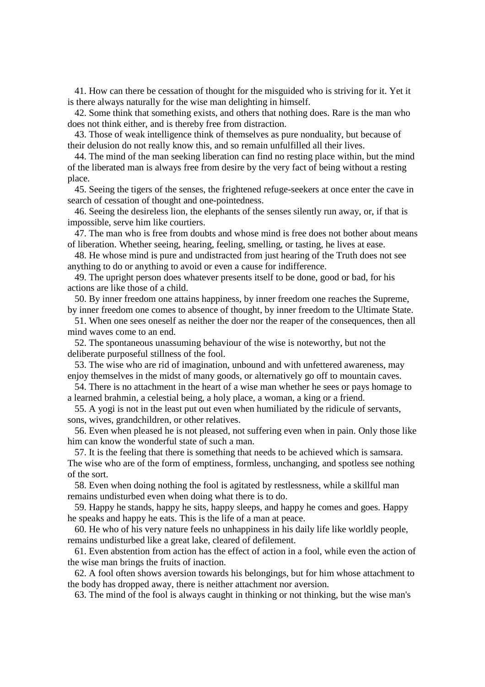41. How can there be cessation of thought for the misguided who is striving for it. Yet it is there always naturally for the wise man delighting in himself.

 42. Some think that something exists, and others that nothing does. Rare is the man who does not think either, and is thereby free from distraction.

 43. Those of weak intelligence think of themselves as pure nonduality, but because of their delusion do not really know this, and so remain unfulfilled all their lives.

 44. The mind of the man seeking liberation can find no resting place within, but the mind of the liberated man is always free from desire by the very fact of being without a resting place.

 45. Seeing the tigers of the senses, the frightened refuge-seekers at once enter the cave in search of cessation of thought and one-pointedness.

 46. Seeing the desireless lion, the elephants of the senses silently run away, or, if that is impossible, serve him like courtiers.

 47. The man who is free from doubts and whose mind is free does not bother about means of liberation. Whether seeing, hearing, feeling, smelling, or tasting, he lives at ease.

 48. He whose mind is pure and undistracted from just hearing of the Truth does not see anything to do or anything to avoid or even a cause for indifference.

 49. The upright person does whatever presents itself to be done, good or bad, for his actions are like those of a child.

 50. By inner freedom one attains happiness, by inner freedom one reaches the Supreme, by inner freedom one comes to absence of thought, by inner freedom to the Ultimate State.

 51. When one sees oneself as neither the doer nor the reaper of the consequences, then all mind waves come to an end.

 52. The spontaneous unassuming behaviour of the wise is noteworthy, but not the deliberate purposeful stillness of the fool.

 53. The wise who are rid of imagination, unbound and with unfettered awareness, may enjoy themselves in the midst of many goods, or alternatively go off to mountain caves.

 54. There is no attachment in the heart of a wise man whether he sees or pays homage to a learned brahmin, a celestial being, a holy place, a woman, a king or a friend.

 55. A yogi is not in the least put out even when humiliated by the ridicule of servants, sons, wives, grandchildren, or other relatives.

 56. Even when pleased he is not pleased, not suffering even when in pain. Only those like him can know the wonderful state of such a man.

 57. It is the feeling that there is something that needs to be achieved which is samsara. The wise who are of the form of emptiness, formless, unchanging, and spotless see nothing of the sort.

 58. Even when doing nothing the fool is agitated by restlessness, while a skillful man remains undisturbed even when doing what there is to do.

 59. Happy he stands, happy he sits, happy sleeps, and happy he comes and goes. Happy he speaks and happy he eats. This is the life of a man at peace.

 60. He who of his very nature feels no unhappiness in his daily life like worldly people, remains undisturbed like a great lake, cleared of defilement.

 61. Even abstention from action has the effect of action in a fool, while even the action of the wise man brings the fruits of inaction.

 62. A fool often shows aversion towards his belongings, but for him whose attachment to the body has dropped away, there is neither attachment nor aversion.

63. The mind of the fool is always caught in thinking or not thinking, but the wise man's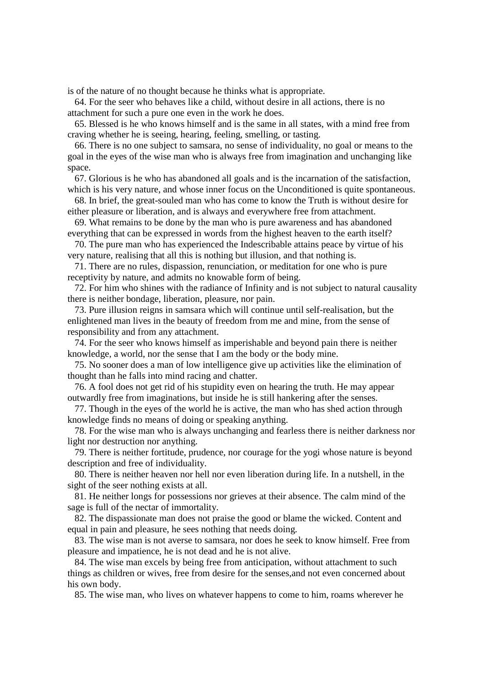is of the nature of no thought because he thinks what is appropriate.

 64. For the seer who behaves like a child, without desire in all actions, there is no attachment for such a pure one even in the work he does.

 65. Blessed is he who knows himself and is the same in all states, with a mind free from craving whether he is seeing, hearing, feeling, smelling, or tasting.

 66. There is no one subject to samsara, no sense of individuality, no goal or means to the goal in the eyes of the wise man who is always free from imagination and unchanging like space.

 67. Glorious is he who has abandoned all goals and is the incarnation of the satisfaction, which is his very nature, and whose inner focus on the Unconditioned is quite spontaneous.

 68. In brief, the great-souled man who has come to know the Truth is without desire for either pleasure or liberation, and is always and everywhere free from attachment.

 69. What remains to be done by the man who is pure awareness and has abandoned everything that can be expressed in words from the highest heaven to the earth itself?

 70. The pure man who has experienced the Indescribable attains peace by virtue of his very nature, realising that all this is nothing but illusion, and that nothing is.

 71. There are no rules, dispassion, renunciation, or meditation for one who is pure receptivity by nature, and admits no knowable form of being.

 72. For him who shines with the radiance of Infinity and is not subject to natural causality there is neither bondage, liberation, pleasure, nor pain.

 73. Pure illusion reigns in samsara which will continue until self-realisation, but the enlightened man lives in the beauty of freedom from me and mine, from the sense of responsibility and from any attachment.

 74. For the seer who knows himself as imperishable and beyond pain there is neither knowledge, a world, nor the sense that I am the body or the body mine.

 75. No sooner does a man of low intelligence give up activities like the elimination of thought than he falls into mind racing and chatter.

 76. A fool does not get rid of his stupidity even on hearing the truth. He may appear outwardly free from imaginations, but inside he is still hankering after the senses.

 77. Though in the eyes of the world he is active, the man who has shed action through knowledge finds no means of doing or speaking anything.

 78. For the wise man who is always unchanging and fearless there is neither darkness nor light nor destruction nor anything.

 79. There is neither fortitude, prudence, nor courage for the yogi whose nature is beyond description and free of individuality.

 80. There is neither heaven nor hell nor even liberation during life. In a nutshell, in the sight of the seer nothing exists at all.

 81. He neither longs for possessions nor grieves at their absence. The calm mind of the sage is full of the nectar of immortality.

 82. The dispassionate man does not praise the good or blame the wicked. Content and equal in pain and pleasure, he sees nothing that needs doing.

 83. The wise man is not averse to samsara, nor does he seek to know himself. Free from pleasure and impatience, he is not dead and he is not alive.

 84. The wise man excels by being free from anticipation, without attachment to such things as children or wives, free from desire for the senses,and not even concerned about his own body.

85. The wise man, who lives on whatever happens to come to him, roams wherever he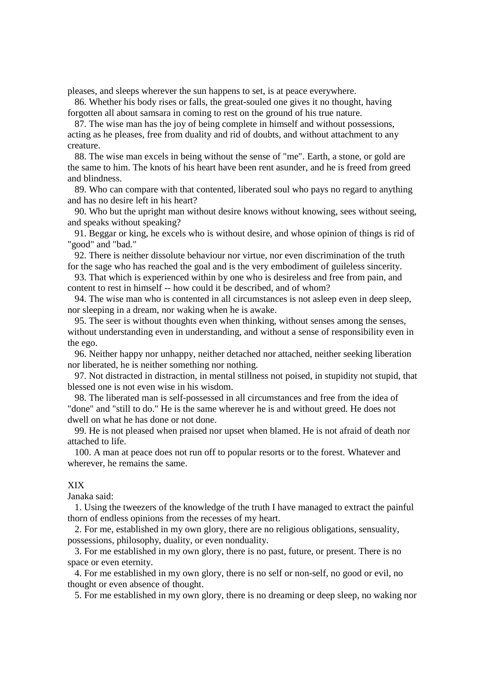pleases, and sleeps wherever the sun happens to set, is at peace everywhere.

 86. Whether his body rises or falls, the great-souled one gives it no thought, having forgotten all about samsara in coming to rest on the ground of his true nature.

 87. The wise man has the joy of being complete in himself and without possessions, acting as he pleases, free from duality and rid of doubts, and without attachment to any creature.

 88. The wise man excels in being without the sense of "me". Earth, a stone, or gold are the same to him. The knots of his heart have been rent asunder, and he is freed from greed and blindness.

 89. Who can compare with that contented, liberated soul who pays no regard to anything and has no desire left in his heart?

 90. Who but the upright man without desire knows without knowing, sees without seeing, and speaks without speaking?

 91. Beggar or king, he excels who is without desire, and whose opinion of things is rid of "good" and "bad."

 92. There is neither dissolute behaviour nor virtue, nor even discrimination of the truth for the sage who has reached the goal and is the very embodiment of guileless sincerity.

 93. That which is experienced within by one who is desireless and free from pain, and content to rest in himself -- how could it be described, and of whom?

 94. The wise man who is contented in all circumstances is not asleep even in deep sleep, nor sleeping in a dream, nor waking when he is awake.

 95. The seer is without thoughts even when thinking, without senses among the senses, without understanding even in understanding, and without a sense of responsibility even in the ego.

 96. Neither happy nor unhappy, neither detached nor attached, neither seeking liberation nor liberated, he is neither something nor nothing.

 97. Not distracted in distraction, in mental stillness not poised, in stupidity not stupid, that blessed one is not even wise in his wisdom.

 98. The liberated man is self-possessed in all circumstances and free from the idea of "done" and "still to do." He is the same wherever he is and without greed. He does not dwell on what he has done or not done.

 99. He is not pleased when praised nor upset when blamed. He is not afraid of death nor attached to life.

 100. A man at peace does not run off to popular resorts or to the forest. Whatever and wherever, he remains the same.

## XIX

Janaka said:

 1. Using the tweezers of the knowledge of the truth I have managed to extract the painful thorn of endless opinions from the recesses of my heart.

 2. For me, established in my own glory, there are no religious obligations, sensuality, possessions, philosophy, duality, or even nonduality.

 3. For me established in my own glory, there is no past, future, or present. There is no space or even eternity.

 4. For me established in my own glory, there is no self or non-self, no good or evil, no thought or even absence of thought.

5. For me established in my own glory, there is no dreaming or deep sleep, no waking nor